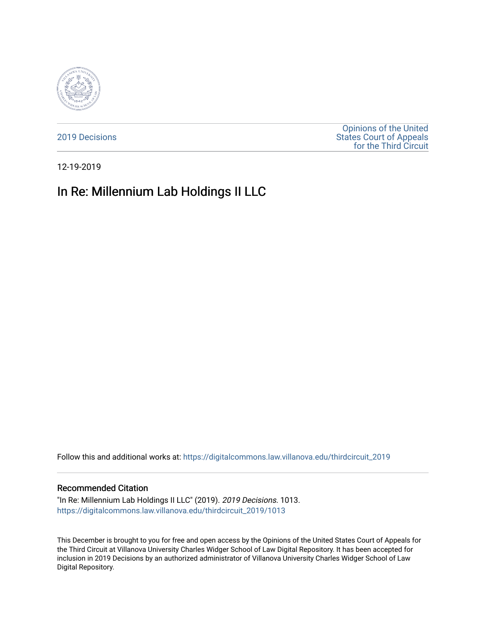

[2019 Decisions](https://digitalcommons.law.villanova.edu/thirdcircuit_2019)

[Opinions of the United](https://digitalcommons.law.villanova.edu/thirdcircuit)  [States Court of Appeals](https://digitalcommons.law.villanova.edu/thirdcircuit)  [for the Third Circuit](https://digitalcommons.law.villanova.edu/thirdcircuit) 

12-19-2019

# In Re: Millennium Lab Holdings II LLC

Follow this and additional works at: [https://digitalcommons.law.villanova.edu/thirdcircuit\\_2019](https://digitalcommons.law.villanova.edu/thirdcircuit_2019?utm_source=digitalcommons.law.villanova.edu%2Fthirdcircuit_2019%2F1013&utm_medium=PDF&utm_campaign=PDFCoverPages) 

#### Recommended Citation

"In Re: Millennium Lab Holdings II LLC" (2019). 2019 Decisions. 1013. [https://digitalcommons.law.villanova.edu/thirdcircuit\\_2019/1013](https://digitalcommons.law.villanova.edu/thirdcircuit_2019/1013?utm_source=digitalcommons.law.villanova.edu%2Fthirdcircuit_2019%2F1013&utm_medium=PDF&utm_campaign=PDFCoverPages) 

This December is brought to you for free and open access by the Opinions of the United States Court of Appeals for the Third Circuit at Villanova University Charles Widger School of Law Digital Repository. It has been accepted for inclusion in 2019 Decisions by an authorized administrator of Villanova University Charles Widger School of Law Digital Repository.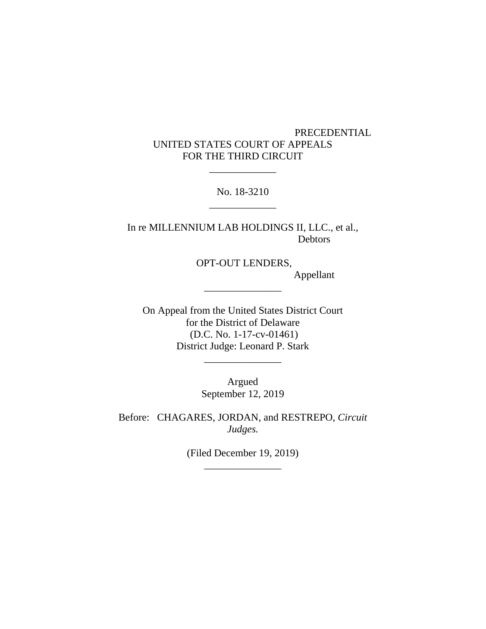## PRECEDENTIAL UNITED STATES COURT OF APPEALS FOR THE THIRD CIRCUIT

No. 18-3210 \_\_\_\_\_\_\_\_\_\_\_\_\_

\_\_\_\_\_\_\_\_\_\_\_\_\_

In re MILLENNIUM LAB HOLDINGS II, LLC., et al., Debtors

OPT-OUT LENDERS,

\_\_\_\_\_\_\_\_\_\_\_\_\_\_\_

Appellant

On Appeal from the United States District Court for the District of Delaware (D.C. No. 1-17-cv-01461) District Judge: Leonard P. Stark

> Argued September 12, 2019

\_\_\_\_\_\_\_\_\_\_\_\_\_\_\_

Before: CHAGARES, JORDAN, and RESTREPO, *Circuit Judges.*

> (Filed December 19, 2019) \_\_\_\_\_\_\_\_\_\_\_\_\_\_\_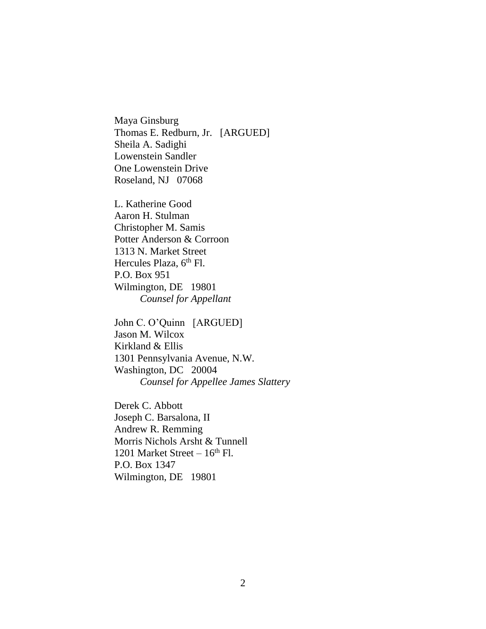Maya Ginsburg Thomas E. Redburn, Jr. [ARGUED] Sheila A. Sadighi Lowenstein Sandler One Lowenstein Drive Roseland, NJ 07068

L. Katherine Good Aaron H. Stulman Christopher M. Samis Potter Anderson & Corroon 1313 N. Market Street Hercules Plaza, 6<sup>th</sup> Fl. P.O. Box 951 Wilmington, DE 19801 *Counsel for Appellant*

John C. O'Quinn [ARGUED] Jason M. Wilcox Kirkland & Ellis 1301 Pennsylvania Avenue, N.W. Washington, DC 20004 *Counsel for Appellee James Slattery*

Derek C. Abbott Joseph C. Barsalona, II Andrew R. Remming Morris Nichols Arsht & Tunnell 1201 Market Street –  $16<sup>th</sup>$  Fl. P.O. Box 1347 Wilmington, DE 19801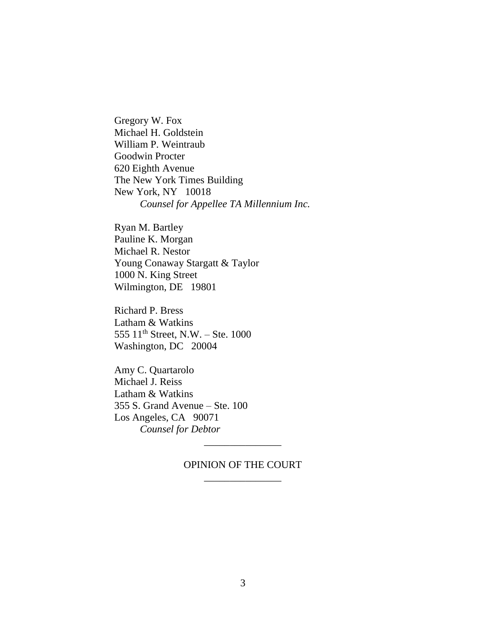Gregory W. Fox Michael H. Goldstein William P. Weintraub Goodwin Procter 620 Eighth Avenue The New York Times Building New York, NY 10018 *Counsel for Appellee TA Millennium Inc.*

Ryan M. Bartley Pauline K. Morgan Michael R. Nestor Young Conaway Stargatt & Taylor 1000 N. King Street Wilmington, DE 19801

Richard P. Bress Latham & Watkins 555 11th Street, N.W. – Ste. 1000 Washington, DC 20004

Amy C. Quartarolo Michael J. Reiss Latham & Watkins 355 S. Grand Avenue – Ste. 100 Los Angeles, CA 90071 *Counsel for Debtor*

## OPINION OF THE COURT \_\_\_\_\_\_\_\_\_\_\_\_\_\_\_

\_\_\_\_\_\_\_\_\_\_\_\_\_\_\_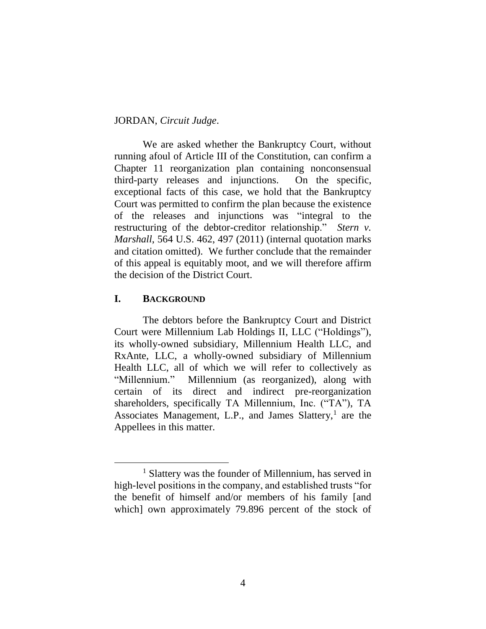#### JORDAN, *Circuit Judge*.

We are asked whether the Bankruptcy Court, without running afoul of Article III of the Constitution, can confirm a Chapter 11 reorganization plan containing nonconsensual third-party releases and injunctions. On the specific, exceptional facts of this case, we hold that the Bankruptcy Court was permitted to confirm the plan because the existence of the releases and injunctions was "integral to the restructuring of the debtor-creditor relationship." *Stern v. Marshall*, 564 U.S. 462, 497 (2011) (internal quotation marks and citation omitted). We further conclude that the remainder of this appeal is equitably moot, and we will therefore affirm the decision of the District Court.

## **I. BACKGROUND**

The debtors before the Bankruptcy Court and District Court were Millennium Lab Holdings II, LLC ("Holdings"), its wholly-owned subsidiary, Millennium Health LLC, and RxAnte, LLC, a wholly-owned subsidiary of Millennium Health LLC, all of which we will refer to collectively as "Millennium." Millennium (as reorganized), along with certain of its direct and indirect pre-reorganization shareholders, specifically TA Millennium, Inc. ("TA"), TA Associates Management, L.P., and James Slattery,<sup>1</sup> are the Appellees in this matter.

<sup>&</sup>lt;sup>1</sup> Slattery was the founder of Millennium, has served in high-level positions in the company, and established trusts "for the benefit of himself and/or members of his family [and which] own approximately 79.896 percent of the stock of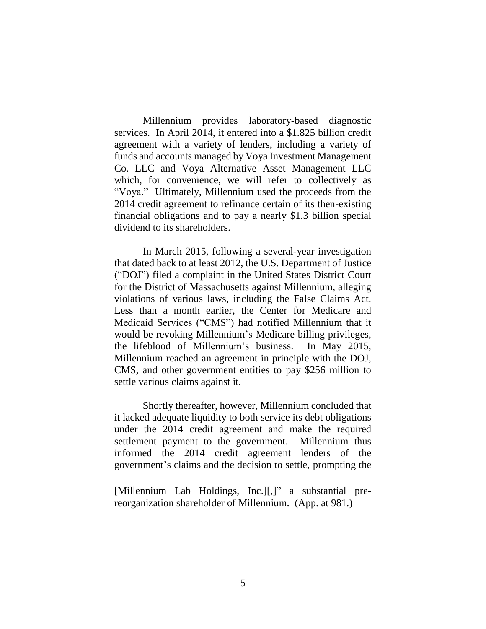Millennium provides laboratory-based diagnostic services. In April 2014, it entered into a \$1.825 billion credit agreement with a variety of lenders, including a variety of funds and accounts managed by Voya Investment Management Co. LLC and Voya Alternative Asset Management LLC which, for convenience, we will refer to collectively as "Voya." Ultimately, Millennium used the proceeds from the 2014 credit agreement to refinance certain of its then-existing financial obligations and to pay a nearly \$1.3 billion special dividend to its shareholders.

In March 2015, following a several-year investigation that dated back to at least 2012, the U.S. Department of Justice ("DOJ") filed a complaint in the United States District Court for the District of Massachusetts against Millennium, alleging violations of various laws, including the False Claims Act. Less than a month earlier, the Center for Medicare and Medicaid Services ("CMS") had notified Millennium that it would be revoking Millennium's Medicare billing privileges, the lifeblood of Millennium's business. In May 2015, Millennium reached an agreement in principle with the DOJ, CMS, and other government entities to pay \$256 million to settle various claims against it.

Shortly thereafter, however, Millennium concluded that it lacked adequate liquidity to both service its debt obligations under the 2014 credit agreement and make the required settlement payment to the government. Millennium thus informed the 2014 credit agreement lenders of the government's claims and the decision to settle, prompting the

<sup>[</sup>Millennium Lab Holdings, Inc.][,]" a substantial prereorganization shareholder of Millennium. (App. at 981.)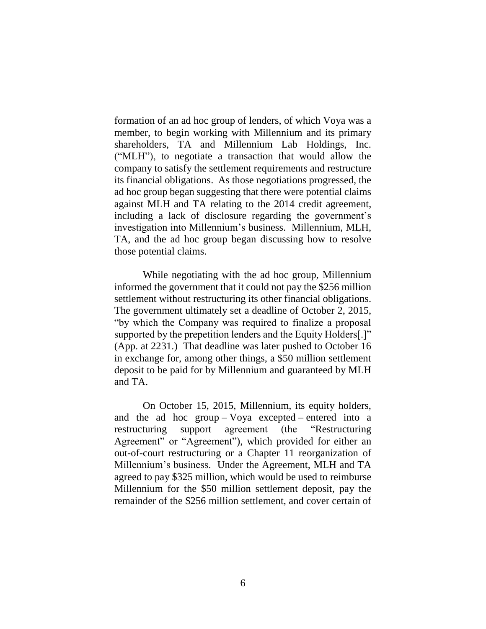formation of an ad hoc group of lenders, of which Voya was a member, to begin working with Millennium and its primary shareholders, TA and Millennium Lab Holdings, Inc. ("MLH"), to negotiate a transaction that would allow the company to satisfy the settlement requirements and restructure its financial obligations. As those negotiations progressed, the ad hoc group began suggesting that there were potential claims against MLH and TA relating to the 2014 credit agreement, including a lack of disclosure regarding the government's investigation into Millennium's business. Millennium, MLH, TA, and the ad hoc group began discussing how to resolve those potential claims.

While negotiating with the ad hoc group, Millennium informed the government that it could not pay the \$256 million settlement without restructuring its other financial obligations. The government ultimately set a deadline of October 2, 2015, "by which the Company was required to finalize a proposal supported by the prepetition lenders and the Equity Holders[.]" (App. at 2231.) That deadline was later pushed to October 16 in exchange for, among other things, a \$50 million settlement deposit to be paid for by Millennium and guaranteed by MLH and TA.

On October 15, 2015, Millennium, its equity holders, and the ad hoc group – Voya excepted – entered into a restructuring support agreement (the "Restructuring Agreement" or "Agreement"), which provided for either an out-of-court restructuring or a Chapter 11 reorganization of Millennium's business. Under the Agreement, MLH and TA agreed to pay \$325 million, which would be used to reimburse Millennium for the \$50 million settlement deposit, pay the remainder of the \$256 million settlement, and cover certain of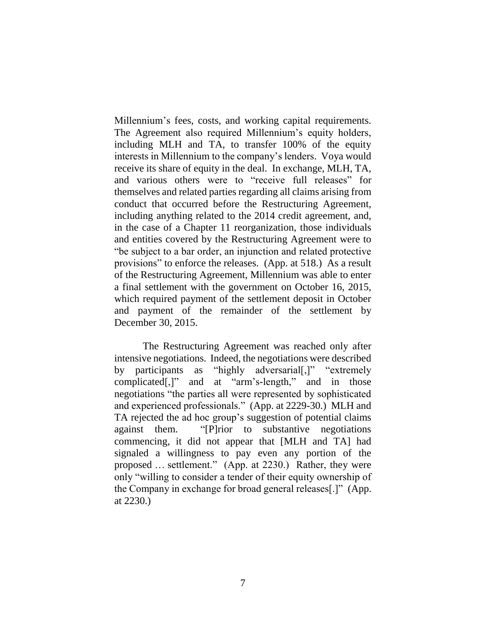Millennium's fees, costs, and working capital requirements. The Agreement also required Millennium's equity holders, including MLH and TA, to transfer 100% of the equity interests in Millennium to the company's lenders. Voya would receive its share of equity in the deal. In exchange, MLH, TA, and various others were to "receive full releases" for themselves and related parties regarding all claims arising from conduct that occurred before the Restructuring Agreement, including anything related to the 2014 credit agreement, and, in the case of a Chapter 11 reorganization, those individuals and entities covered by the Restructuring Agreement were to "be subject to a bar order, an injunction and related protective provisions" to enforce the releases. (App. at 518.) As a result of the Restructuring Agreement, Millennium was able to enter a final settlement with the government on October 16, 2015, which required payment of the settlement deposit in October and payment of the remainder of the settlement by December 30, 2015.

The Restructuring Agreement was reached only after intensive negotiations. Indeed, the negotiations were described by participants as "highly adversarial[,]" "extremely complicated[,]" and at "arm's-length," and in those negotiations "the parties all were represented by sophisticated and experienced professionals." (App. at 2229-30.) MLH and TA rejected the ad hoc group's suggestion of potential claims against them. "[P]rior to substantive negotiations commencing, it did not appear that [MLH and TA] had signaled a willingness to pay even any portion of the proposed … settlement." (App. at 2230.) Rather, they were only "willing to consider a tender of their equity ownership of the Company in exchange for broad general releases[.]" (App. at 2230.)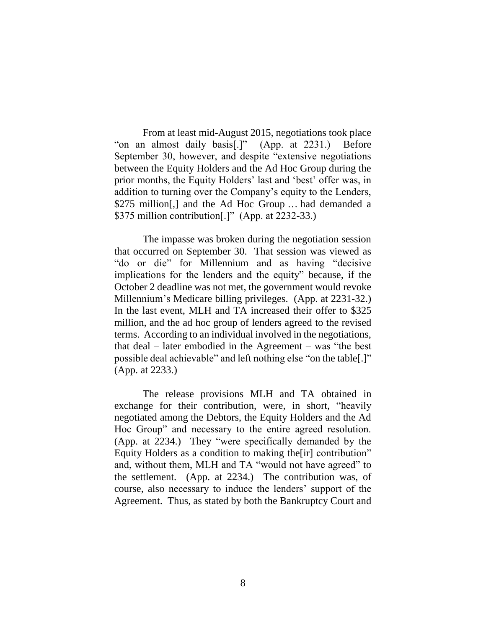From at least mid-August 2015, negotiations took place "on an almost daily basis[.]" (App. at 2231.) Before September 30, however, and despite "extensive negotiations between the Equity Holders and the Ad Hoc Group during the prior months, the Equity Holders' last and 'best' offer was, in addition to turning over the Company's equity to the Lenders, \$275 million[,] and the Ad Hoc Group … had demanded a \$375 million contribution[.]" (App. at 2232-33.)

The impasse was broken during the negotiation session that occurred on September 30. That session was viewed as "do or die" for Millennium and as having "decisive implications for the lenders and the equity" because, if the October 2 deadline was not met, the government would revoke Millennium's Medicare billing privileges. (App. at 2231-32.) In the last event, MLH and TA increased their offer to \$325 million, and the ad hoc group of lenders agreed to the revised terms. According to an individual involved in the negotiations, that deal – later embodied in the Agreement – was "the best possible deal achievable" and left nothing else "on the table[.]" (App. at 2233.)

The release provisions MLH and TA obtained in exchange for their contribution, were, in short, "heavily negotiated among the Debtors, the Equity Holders and the Ad Hoc Group" and necessary to the entire agreed resolution. (App. at 2234.) They "were specifically demanded by the Equity Holders as a condition to making the[ir] contribution" and, without them, MLH and TA "would not have agreed" to the settlement. (App. at 2234.) The contribution was, of course, also necessary to induce the lenders' support of the Agreement. Thus, as stated by both the Bankruptcy Court and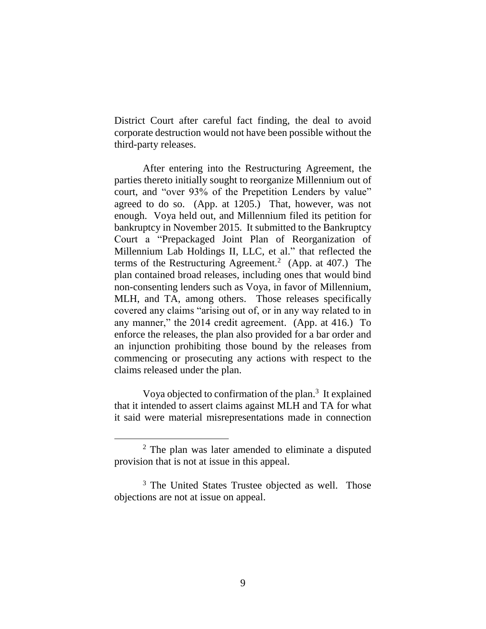District Court after careful fact finding, the deal to avoid corporate destruction would not have been possible without the third-party releases.

After entering into the Restructuring Agreement, the parties thereto initially sought to reorganize Millennium out of court, and "over 93% of the Prepetition Lenders by value" agreed to do so. (App. at 1205.) That, however, was not enough. Voya held out, and Millennium filed its petition for bankruptcy in November 2015. It submitted to the Bankruptcy Court a "Prepackaged Joint Plan of Reorganization of Millennium Lab Holdings II, LLC, et al." that reflected the terms of the Restructuring Agreement.<sup>2</sup> (App. at 407.) The plan contained broad releases, including ones that would bind non-consenting lenders such as Voya, in favor of Millennium, MLH, and TA, among others. Those releases specifically covered any claims "arising out of, or in any way related to in any manner," the 2014 credit agreement. (App. at 416.) To enforce the releases, the plan also provided for a bar order and an injunction prohibiting those bound by the releases from commencing or prosecuting any actions with respect to the claims released under the plan.

Voya objected to confirmation of the plan. $3$  It explained that it intended to assert claims against MLH and TA for what it said were material misrepresentations made in connection

<sup>2</sup> The plan was later amended to eliminate a disputed provision that is not at issue in this appeal.

<sup>&</sup>lt;sup>3</sup> The United States Trustee objected as well. Those objections are not at issue on appeal.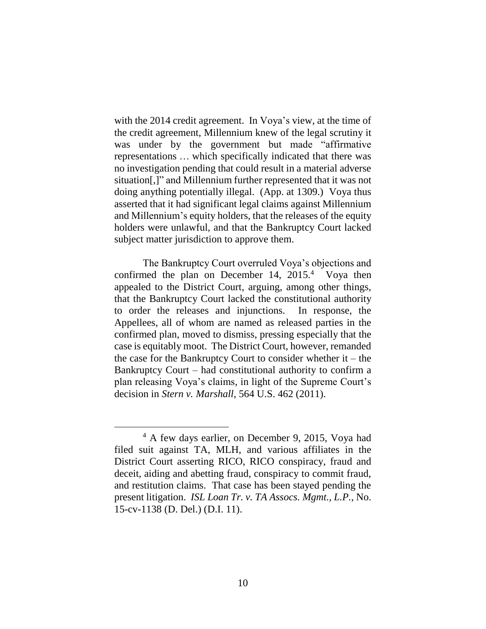with the 2014 credit agreement. In Voya's view, at the time of the credit agreement, Millennium knew of the legal scrutiny it was under by the government but made "affirmative representations … which specifically indicated that there was no investigation pending that could result in a material adverse situation[,]" and Millennium further represented that it was not doing anything potentially illegal. (App. at 1309.) Voya thus asserted that it had significant legal claims against Millennium and Millennium's equity holders, that the releases of the equity holders were unlawful, and that the Bankruptcy Court lacked subject matter jurisdiction to approve them.

The Bankruptcy Court overruled Voya's objections and confirmed the plan on December 14,  $2015<sup>4</sup>$  Voya then appealed to the District Court, arguing, among other things, that the Bankruptcy Court lacked the constitutional authority to order the releases and injunctions. In response, the Appellees, all of whom are named as released parties in the confirmed plan, moved to dismiss, pressing especially that the case is equitably moot. The District Court, however, remanded the case for the Bankruptcy Court to consider whether it – the Bankruptcy Court – had constitutional authority to confirm a plan releasing Voya's claims, in light of the Supreme Court's decision in *Stern v. Marshall*, 564 U.S. 462 (2011).

<sup>&</sup>lt;sup>4</sup> A few days earlier, on December 9, 2015, Voya had filed suit against TA, MLH, and various affiliates in the District Court asserting RICO, RICO conspiracy, fraud and deceit, aiding and abetting fraud, conspiracy to commit fraud, and restitution claims. That case has been stayed pending the present litigation. *ISL Loan Tr. v. TA Assocs. Mgmt., L.P.*, No. 15-cv-1138 (D. Del.) (D.I. 11).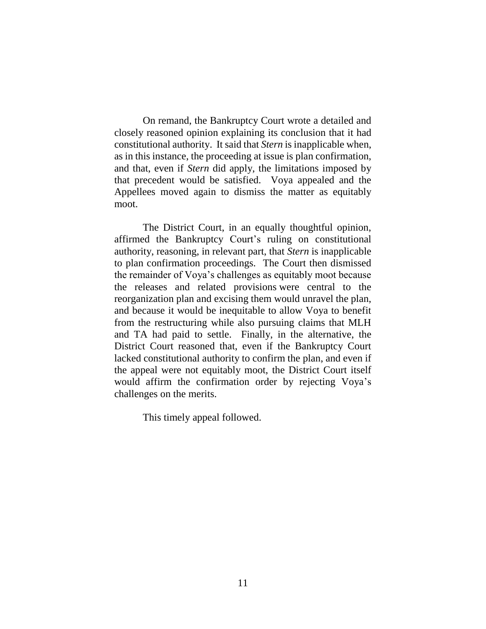On remand, the Bankruptcy Court wrote a detailed and closely reasoned opinion explaining its conclusion that it had constitutional authority. It said that *Stern* is inapplicable when, as in this instance, the proceeding at issue is plan confirmation, and that, even if *Stern* did apply, the limitations imposed by that precedent would be satisfied. Voya appealed and the Appellees moved again to dismiss the matter as equitably moot.

The District Court, in an equally thoughtful opinion, affirmed the Bankruptcy Court's ruling on constitutional authority, reasoning, in relevant part, that *Stern* is inapplicable to plan confirmation proceedings. The Court then dismissed the remainder of Voya's challenges as equitably moot because the releases and related provisions were central to the reorganization plan and excising them would unravel the plan, and because it would be inequitable to allow Voya to benefit from the restructuring while also pursuing claims that MLH and TA had paid to settle. Finally, in the alternative, the District Court reasoned that, even if the Bankruptcy Court lacked constitutional authority to confirm the plan, and even if the appeal were not equitably moot, the District Court itself would affirm the confirmation order by rejecting Voya's challenges on the merits.

This timely appeal followed.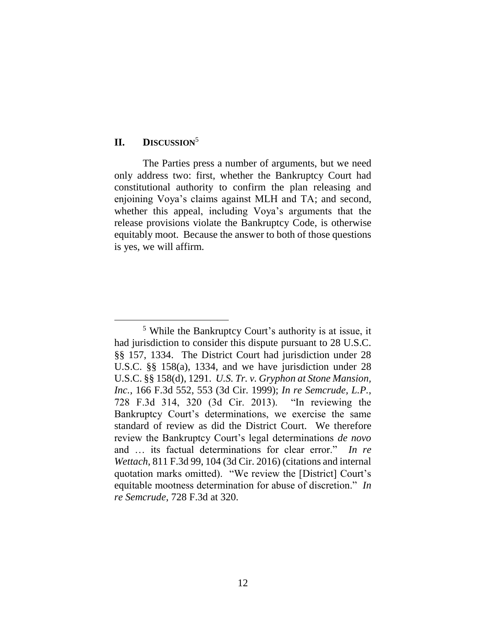#### **II. DISCUSSION**<sup>5</sup>

 $\overline{a}$ 

The Parties press a number of arguments, but we need only address two: first, whether the Bankruptcy Court had constitutional authority to confirm the plan releasing and enjoining Voya's claims against MLH and TA; and second, whether this appeal, including Voya's arguments that the release provisions violate the Bankruptcy Code, is otherwise equitably moot. Because the answer to both of those questions is yes, we will affirm.

<sup>5</sup> While the Bankruptcy Court's authority is at issue, it had jurisdiction to consider this dispute pursuant to 28 U.S.C. §§ 157, 1334. The District Court had jurisdiction under 28 U.S.C. §§ 158(a), 1334, and we have jurisdiction under 28 U.S.C. §§ 158(d), 1291. *U.S. Tr. v. Gryphon at Stone Mansion, Inc.*, 166 F.3d 552, 553 (3d Cir. 1999); *In re Semcrude, L.P.*, 728 F.3d 314, 320 (3d Cir. 2013). "In reviewing the Bankruptcy Court's determinations, we exercise the same standard of review as did the District Court. We therefore review the Bankruptcy Court's legal determinations *de novo* and … its factual determinations for clear error." *In re Wettach*, 811 F.3d 99, 104 (3d Cir. 2016) (citations and internal quotation marks omitted). "We review the [District] Court's equitable mootness determination for abuse of discretion." *In re Semcrude*, 728 F.3d at 320.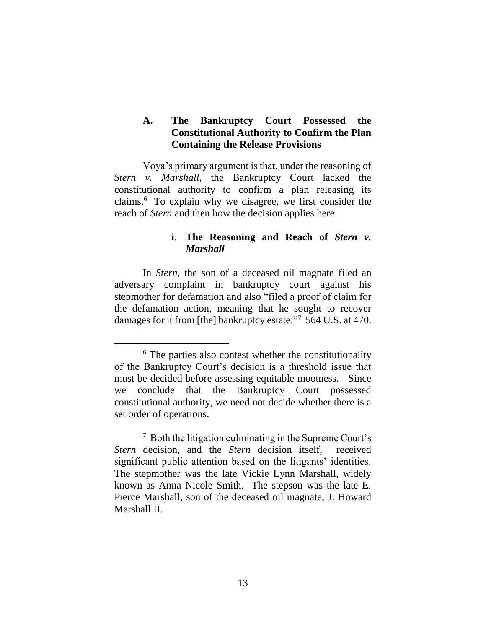## **A. The Bankruptcy Court Possessed the Constitutional Authority to Confirm the Plan Containing the Release Provisions**

Voya's primary argument is that, under the reasoning of *Stern v. Marshall*, the Bankruptcy Court lacked the constitutional authority to confirm a plan releasing its claims. <sup>6</sup> To explain why we disagree, we first consider the reach of *Stern* and then how the decision applies here.

## **i. The Reasoning and Reach of** *Stern v. Marshall*

In *Stern*, the son of a deceased oil magnate filed an adversary complaint in bankruptcy court against his stepmother for defamation and also "filed a proof of claim for the defamation action, meaning that he sought to recover damages for it from [the] bankruptcy estate."<sup>7</sup> 564 U.S. at 470.

<sup>&</sup>lt;sup>6</sup> The parties also contest whether the constitutionality of the Bankruptcy Court's decision is a threshold issue that must be decided before assessing equitable mootness.Since we conclude that the Bankruptcy Court possessed constitutional authority, we need not decide whether there is a set order of operations.

<sup>7</sup> Both the litigation culminating in the Supreme Court's *Stern* decision, and the *Stern* decision itself, received significant public attention based on the litigants' identities. The stepmother was the late Vickie Lynn Marshall, widely known as Anna Nicole Smith. The stepson was the late E. Pierce Marshall, son of the deceased oil magnate, J. Howard Marshall II.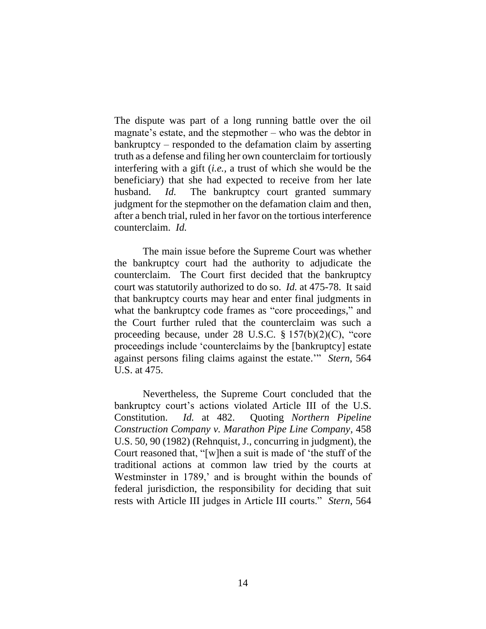The dispute was part of a long running battle over the oil magnate's estate, and the stepmother – who was the debtor in bankruptcy – responded to the defamation claim by asserting truth as a defense and filing her own counterclaim for tortiously interfering with a gift (*i.e.,* a trust of which she would be the beneficiary) that she had expected to receive from her late husband. *Id.* The bankruptcy court granted summary judgment for the stepmother on the defamation claim and then, after a bench trial, ruled in her favor on the tortious interference counterclaim. *Id.*

The main issue before the Supreme Court was whether the bankruptcy court had the authority to adjudicate the counterclaim. The Court first decided that the bankruptcy court was statutorily authorized to do so. *Id.* at 475-78. It said that bankruptcy courts may hear and enter final judgments in what the bankruptcy code frames as "core proceedings," and the Court further ruled that the counterclaim was such a proceeding because, under 28 U.S.C. § 157(b)(2)(C), "core proceedings include 'counterclaims by the [bankruptcy] estate against persons filing claims against the estate.'" *Stern*, 564 U.S. at 475.

Nevertheless, the Supreme Court concluded that the bankruptcy court's actions violated Article III of the U.S. Constitution. *Id.* at 482. Quoting *Northern Pipeline Construction Company v. Marathon Pipe Line Company*, 458 U.S. 50, 90 (1982) (Rehnquist, J., concurring in judgment), the Court reasoned that, "[w]hen a suit is made of 'the stuff of the traditional actions at common law tried by the courts at Westminster in 1789,' and is brought within the bounds of federal jurisdiction, the responsibility for deciding that suit rests with Article III judges in Article III courts." *Stern*, 564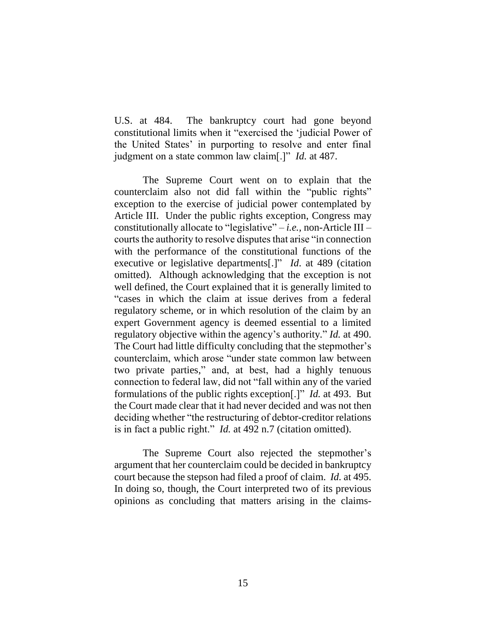U.S. at 484. The bankruptcy court had gone beyond constitutional limits when it "exercised the 'judicial Power of the United States' in purporting to resolve and enter final judgment on a state common law claim[.]" *Id.* at 487.

The Supreme Court went on to explain that the counterclaim also not did fall within the "public rights" exception to the exercise of judicial power contemplated by Article III. Under the public rights exception, Congress may constitutionally allocate to "legislative" – *i.e.,* non-Article III – courts the authority to resolve disputes that arise "in connection with the performance of the constitutional functions of the executive or legislative departments[.]" *Id*. at 489 (citation omitted). Although acknowledging that the exception is not well defined, the Court explained that it is generally limited to "cases in which the claim at issue derives from a federal regulatory scheme, or in which resolution of the claim by an expert Government agency is deemed essential to a limited regulatory objective within the agency's authority." *Id.* at 490. The Court had little difficulty concluding that the stepmother's counterclaim, which arose "under state common law between two private parties," and, at best, had a highly tenuous connection to federal law, did not "fall within any of the varied formulations of the public rights exception[.]" *Id.* at 493. But the Court made clear that it had never decided and was not then deciding whether "the restructuring of debtor-creditor relations is in fact a public right." *Id.* at 492 n.7 (citation omitted).

The Supreme Court also rejected the stepmother's argument that her counterclaim could be decided in bankruptcy court because the stepson had filed a proof of claim. *Id.* at 495. In doing so, though, the Court interpreted two of its previous opinions as concluding that matters arising in the claims-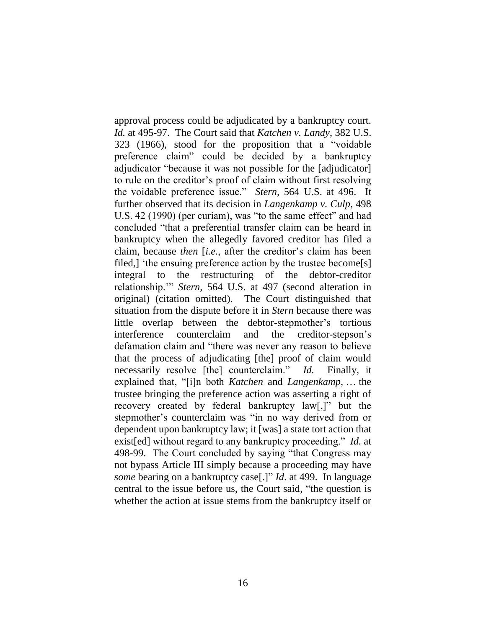approval process could be adjudicated by a bankruptcy court. *Id.* at 495-97. The Court said that *Katchen v. Landy*, 382 U.S. 323 (1966), stood for the proposition that a "voidable preference claim" could be decided by a bankruptcy adjudicator "because it was not possible for the [adjudicator] to rule on the creditor's proof of claim without first resolving the voidable preference issue." *Stern,* 564 U.S. at 496. It further observed that its decision in *Langenkamp v. Culp*, 498 U.S. 42 (1990) (per curiam), was "to the same effect" and had concluded "that a preferential transfer claim can be heard in bankruptcy when the allegedly favored creditor has filed a claim, because *then* [*i.e.*, after the creditor's claim has been filed,] 'the ensuing preference action by the trustee become[s] integral to the restructuring of the debtor-creditor relationship.'" *Stern,* 564 U.S. at 497 (second alteration in original) (citation omitted). The Court distinguished that situation from the dispute before it in *Stern* because there was little overlap between the debtor-stepmother's tortious interference counterclaim and the creditor-stepson's defamation claim and "there was never any reason to believe that the process of adjudicating [the] proof of claim would necessarily resolve [the] counterclaim." *Id.* Finally, it explained that, "[i]n both *Katchen* and *Langenkamp*, … the trustee bringing the preference action was asserting a right of recovery created by federal bankruptcy law[,]" but the stepmother's counterclaim was "in no way derived from or dependent upon bankruptcy law; it [was] a state tort action that exist[ed] without regard to any bankruptcy proceeding." *Id.* at 498-99. The Court concluded by saying "that Congress may not bypass Article III simply because a proceeding may have *some* bearing on a bankruptcy case[.]" *Id*. at 499. In language central to the issue before us, the Court said, "the question is whether the action at issue stems from the bankruptcy itself or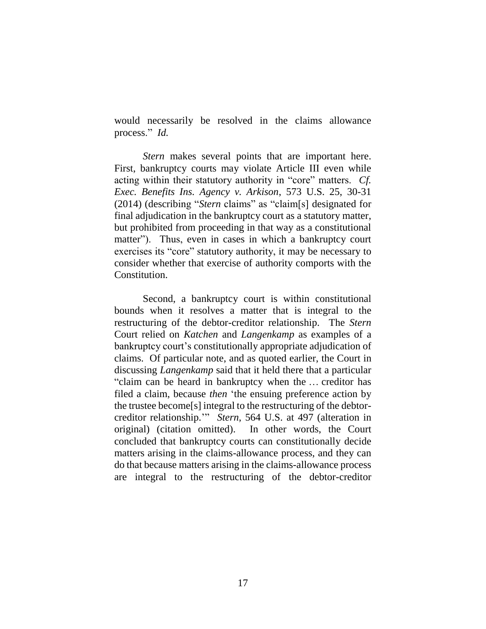would necessarily be resolved in the claims allowance process." *Id.*

*Stern* makes several points that are important here. First, bankruptcy courts may violate Article III even while acting within their statutory authority in "core" matters. *Cf. Exec. Benefits Ins. Agency v. Arkison*, 573 U.S. 25, 30-31 (2014) (describing "*Stern* claims" as "claim[s] designated for final adjudication in the bankruptcy court as a statutory matter, but prohibited from proceeding in that way as a constitutional matter"). Thus, even in cases in which a bankruptcy court exercises its "core" statutory authority, it may be necessary to consider whether that exercise of authority comports with the Constitution.

Second, a bankruptcy court is within constitutional bounds when it resolves a matter that is integral to the restructuring of the debtor-creditor relationship. The *Stern* Court relied on *Katchen* and *Langenkamp* as examples of a bankruptcy court's constitutionally appropriate adjudication of claims. Of particular note, and as quoted earlier, the Court in discussing *Langenkamp* said that it held there that a particular "claim can be heard in bankruptcy when the … creditor has filed a claim, because *then* 'the ensuing preference action by the trustee become[s] integral to the restructuring of the debtorcreditor relationship.'" *Stern*, 564 U.S. at 497 (alteration in original) (citation omitted). In other words, the Court concluded that bankruptcy courts can constitutionally decide matters arising in the claims-allowance process, and they can do that because matters arising in the claims-allowance process are integral to the restructuring of the debtor-creditor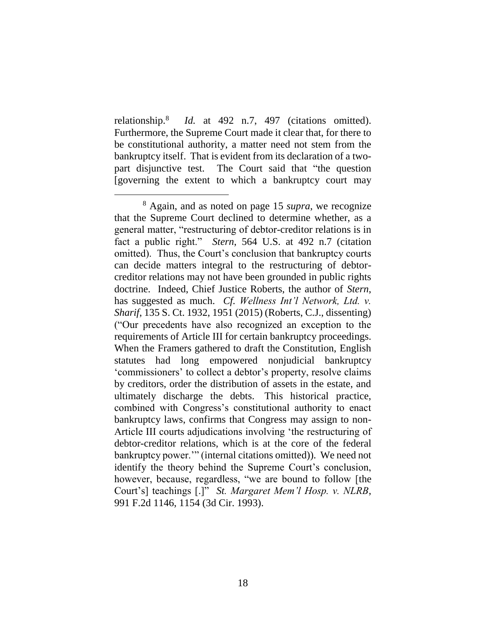relationship.<sup>8</sup> *Id.* at 492 n.7, 497 (citations omitted). Furthermore, the Supreme Court made it clear that, for there to be constitutional authority, a matter need not stem from the bankruptcy itself. That is evident from its declaration of a twopart disjunctive test. The Court said that "the question [governing the extent to which a bankruptcy court may

<sup>8</sup> Again, and as noted on page 15 *supra*, we recognize that the Supreme Court declined to determine whether, as a general matter, "restructuring of debtor-creditor relations is in fact a public right." *Stern*, 564 U.S. at 492 n.7 (citation omitted). Thus, the Court's conclusion that bankruptcy courts can decide matters integral to the restructuring of debtorcreditor relations may not have been grounded in public rights doctrine. Indeed, Chief Justice Roberts, the author of *Stern*, has suggested as much. *Cf. Wellness Int'l Network, Ltd. v. Sharif*, 135 S. Ct. 1932, 1951 (2015) (Roberts, C.J., dissenting) ("Our precedents have also recognized an exception to the requirements of Article III for certain bankruptcy proceedings. When the Framers gathered to draft the Constitution, English statutes had long empowered nonjudicial bankruptcy 'commissioners' to collect a debtor's property, resolve claims by creditors, order the distribution of assets in the estate, and ultimately discharge the debts. This historical practice, combined with Congress's constitutional authority to enact bankruptcy laws, confirms that Congress may assign to non-Article III courts adjudications involving 'the restructuring of debtor-creditor relations, which is at the core of the federal bankruptcy power.'" (internal citations omitted)). We need not identify the theory behind the Supreme Court's conclusion, however, because, regardless, "we are bound to follow [the Court's] teachings [.]" *St. Margaret Mem'l Hosp. v. NLRB*, 991 F.2d 1146, 1154 (3d Cir. 1993).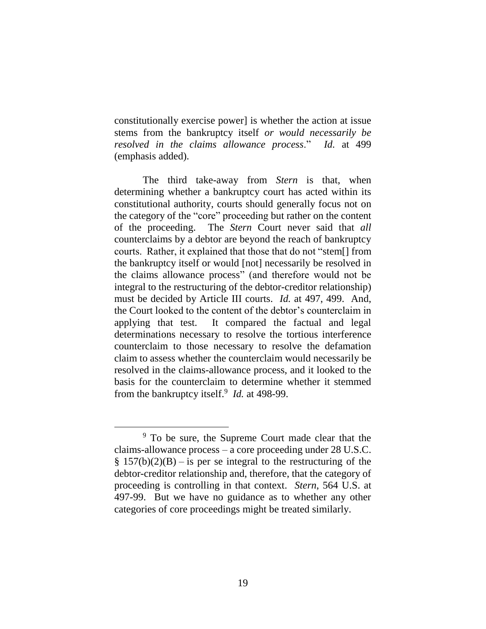constitutionally exercise power] is whether the action at issue stems from the bankruptcy itself *or would necessarily be resolved in the claims allowance process*." *Id.* at 499 (emphasis added).

The third take-away from *Stern* is that, when determining whether a bankruptcy court has acted within its constitutional authority, courts should generally focus not on the category of the "core" proceeding but rather on the content of the proceeding. The *Stern* Court never said that *all* counterclaims by a debtor are beyond the reach of bankruptcy courts. Rather, it explained that those that do not "stem[] from the bankruptcy itself or would [not] necessarily be resolved in the claims allowance process" (and therefore would not be integral to the restructuring of the debtor-creditor relationship) must be decided by Article III courts. *Id.* at 497, 499. And, the Court looked to the content of the debtor's counterclaim in applying that test. It compared the factual and legal determinations necessary to resolve the tortious interference counterclaim to those necessary to resolve the defamation claim to assess whether the counterclaim would necessarily be resolved in the claims-allowance process, and it looked to the basis for the counterclaim to determine whether it stemmed from the bankruptcy itself.<sup>9</sup> *Id.* at 498-99.

<sup>&</sup>lt;sup>9</sup> To be sure, the Supreme Court made clear that the claims-allowance process – a core proceeding under 28 U.S.C.  $\S 157(b)(2)(B) - is$  per se integral to the restructuring of the debtor-creditor relationship and, therefore, that the category of proceeding is controlling in that context. *Stern*, 564 U.S. at 497-99. But we have no guidance as to whether any other categories of core proceedings might be treated similarly.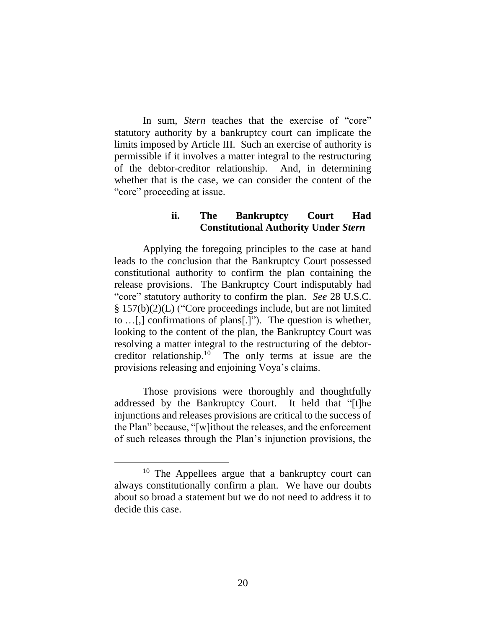In sum, *Stern* teaches that the exercise of "core" statutory authority by a bankruptcy court can implicate the limits imposed by Article III. Such an exercise of authority is permissible if it involves a matter integral to the restructuring of the debtor-creditor relationship. And, in determining whether that is the case, we can consider the content of the "core" proceeding at issue.

#### **ii. The Bankruptcy Court Had Constitutional Authority Under** *Stern*

Applying the foregoing principles to the case at hand leads to the conclusion that the Bankruptcy Court possessed constitutional authority to confirm the plan containing the release provisions. The Bankruptcy Court indisputably had "core" statutory authority to confirm the plan. *See* 28 U.S.C. § 157(b)(2)(L) ("Core proceedings include, but are not limited to …[,] confirmations of plans[.]"). The question is whether, looking to the content of the plan, the Bankruptcy Court was resolving a matter integral to the restructuring of the debtorcreditor relationship.<sup>10</sup> The only terms at issue are the provisions releasing and enjoining Voya's claims.

Those provisions were thoroughly and thoughtfully addressed by the Bankruptcy Court. It held that "[t]he injunctions and releases provisions are critical to the success of the Plan" because, "[w]ithout the releases, and the enforcement of such releases through the Plan's injunction provisions, the

<sup>&</sup>lt;sup>10</sup> The Appellees argue that a bankruptcy court can always constitutionally confirm a plan. We have our doubts about so broad a statement but we do not need to address it to decide this case.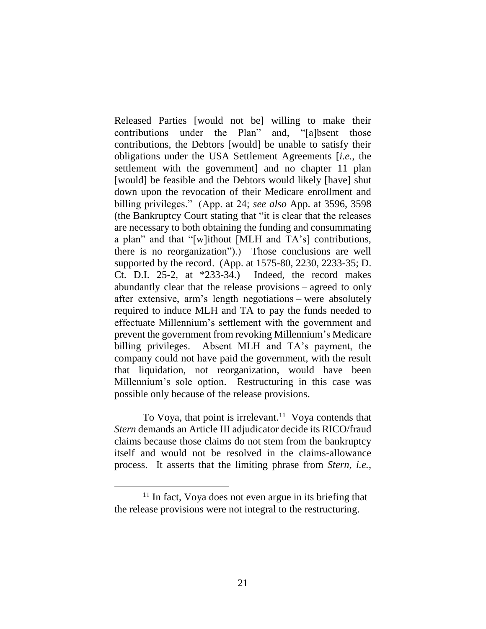Released Parties [would not be] willing to make their contributions under the Plan" and, "[a]bsent those contributions, the Debtors [would] be unable to satisfy their obligations under the USA Settlement Agreements [*i.e.*, the settlement with the government] and no chapter 11 plan [would] be feasible and the Debtors would likely [have] shut down upon the revocation of their Medicare enrollment and billing privileges." (App. at 24; *see also* App. at 3596, 3598 (the Bankruptcy Court stating that "it is clear that the releases are necessary to both obtaining the funding and consummating a plan" and that "[w]ithout [MLH and TA's] contributions, there is no reorganization").) Those conclusions are well supported by the record. (App. at 1575-80, 2230, 2233-35; D. Ct. D.I. 25-2, at \*233-34.)Indeed, the record makes abundantly clear that the release provisions – agreed to only after extensive, arm's length negotiations – were absolutely required to induce MLH and TA to pay the funds needed to effectuate Millennium's settlement with the government and prevent the government from revoking Millennium's Medicare billing privileges. Absent MLH and TA's payment, the company could not have paid the government, with the result that liquidation, not reorganization, would have been Millennium's sole option. Restructuring in this case was possible only because of the release provisions.

To Voya, that point is irrelevant.<sup>11</sup> Voya contends that *Stern* demands an Article III adjudicator decide its RICO/fraud claims because those claims do not stem from the bankruptcy itself and would not be resolved in the claims-allowance process. It asserts that the limiting phrase from *Stern*, *i.e.*,

 $11$  In fact, Voya does not even argue in its briefing that the release provisions were not integral to the restructuring.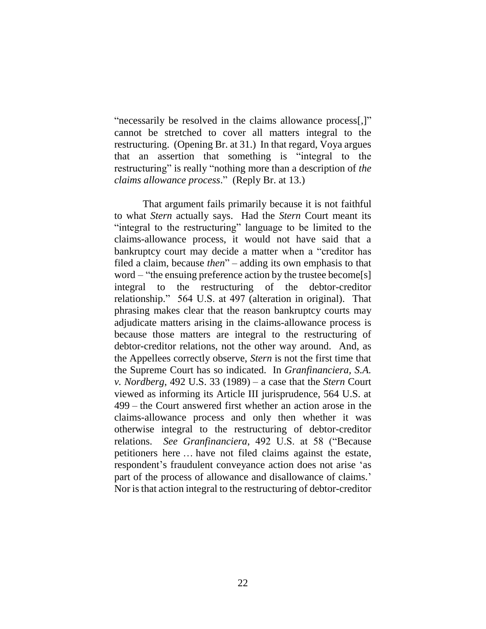"necessarily be resolved in the claims allowance process[,]" cannot be stretched to cover all matters integral to the restructuring. (Opening Br. at 31.) In that regard, Voya argues that an assertion that something is "integral to the restructuring" is really "nothing more than a description of *the claims allowance process*." (Reply Br. at 13.)

That argument fails primarily because it is not faithful to what *Stern* actually says. Had the *Stern* Court meant its "integral to the restructuring" language to be limited to the claims-allowance process, it would not have said that a bankruptcy court may decide a matter when a "creditor has filed a claim, because *then*" – adding its own emphasis to that word – "the ensuing preference action by the trustee become[s] integral to the restructuring of the debtor-creditor relationship." 564 U.S. at 497 (alteration in original). That phrasing makes clear that the reason bankruptcy courts may adjudicate matters arising in the claims-allowance process is because those matters are integral to the restructuring of debtor-creditor relations, not the other way around. And, as the Appellees correctly observe, *Stern* is not the first time that the Supreme Court has so indicated. In *Granfinanciera, S.A. v. Nordberg*, 492 U.S. 33 (1989) – a case that the *Stern* Court viewed as informing its Article III jurisprudence, 564 U.S. at 499 – the Court answered first whether an action arose in the claims-allowance process and only then whether it was otherwise integral to the restructuring of debtor-creditor relations. *See Granfinanciera*, 492 U.S. at 58 ("Because petitioners here … have not filed claims against the estate, respondent's fraudulent conveyance action does not arise 'as part of the process of allowance and disallowance of claims.' Nor is that action integral to the restructuring of debtor-creditor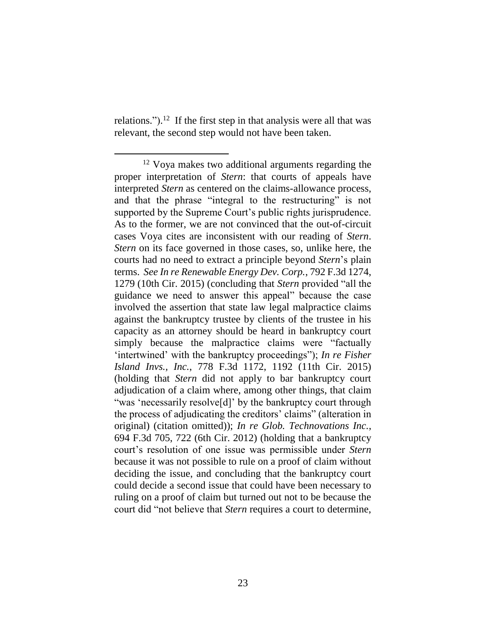relations.").<sup>12</sup> If the first step in that analysis were all that was relevant, the second step would not have been taken.

<sup>&</sup>lt;sup>12</sup> Voya makes two additional arguments regarding the proper interpretation of *Stern*: that courts of appeals have interpreted *Stern* as centered on the claims-allowance process, and that the phrase "integral to the restructuring" is not supported by the Supreme Court's public rights jurisprudence. As to the former, we are not convinced that the out-of-circuit cases Voya cites are inconsistent with our reading of *Stern*. *Stern* on its face governed in those cases, so, unlike here, the courts had no need to extract a principle beyond *Stern*'s plain terms. *See In re Renewable Energy Dev. Corp.*, 792 F.3d 1274, 1279 (10th Cir. 2015) (concluding that *Stern* provided "all the guidance we need to answer this appeal" because the case involved the assertion that state law legal malpractice claims against the bankruptcy trustee by clients of the trustee in his capacity as an attorney should be heard in bankruptcy court simply because the malpractice claims were "factually 'intertwined' with the bankruptcy proceedings"); *In re Fisher Island Invs., Inc.*, 778 F.3d 1172, 1192 (11th Cir. 2015) (holding that *Stern* did not apply to bar bankruptcy court adjudication of a claim where, among other things, that claim "was 'necessarily resolve[d]' by the bankruptcy court through the process of adjudicating the creditors' claims" (alteration in original) (citation omitted)); *In re Glob. Technovations Inc.*, 694 F.3d 705, 722 (6th Cir. 2012) (holding that a bankruptcy court's resolution of one issue was permissible under *Stern*  because it was not possible to rule on a proof of claim without deciding the issue, and concluding that the bankruptcy court could decide a second issue that could have been necessary to ruling on a proof of claim but turned out not to be because the court did "not believe that *Stern* requires a court to determine,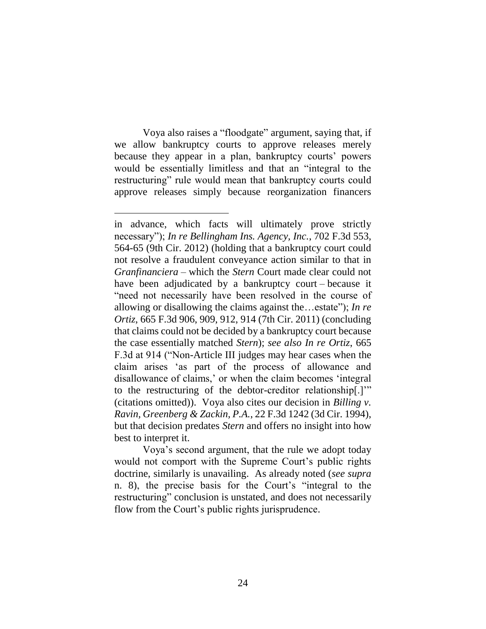Voya also raises a "floodgate" argument, saying that, if we allow bankruptcy courts to approve releases merely because they appear in a plan, bankruptcy courts' powers would be essentially limitless and that an "integral to the restructuring" rule would mean that bankruptcy courts could approve releases simply because reorganization financers

Voya's second argument, that the rule we adopt today would not comport with the Supreme Court's public rights doctrine, similarly is unavailing. As already noted (*see supra* n. 8), the precise basis for the Court's "integral to the restructuring" conclusion is unstated, and does not necessarily flow from the Court's public rights jurisprudence.

in advance, which facts will ultimately prove strictly necessary"); *In re Bellingham Ins. Agency, Inc.*, 702 F.3d 553, 564-65 (9th Cir. 2012) (holding that a bankruptcy court could not resolve a fraudulent conveyance action similar to that in *Granfinanciera* – which the *Stern* Court made clear could not have been adjudicated by a bankruptcy court – because it "need not necessarily have been resolved in the course of allowing or disallowing the claims against the…estate"); *In re Ortiz*, 665 F.3d 906, 909, 912, 914 (7th Cir. 2011) (concluding that claims could not be decided by a bankruptcy court because the case essentially matched *Stern*); *see also In re Ortiz*, 665 F.3d at 914 ("Non-Article III judges may hear cases when the claim arises 'as part of the process of allowance and disallowance of claims,' or when the claim becomes 'integral to the restructuring of the debtor-creditor relationship[.]'" (citations omitted)). Voya also cites our decision in *Billing v. Ravin, Greenberg & Zackin, P.A.*, 22 F.3d 1242 (3d Cir. 1994), but that decision predates *Stern* and offers no insight into how best to interpret it.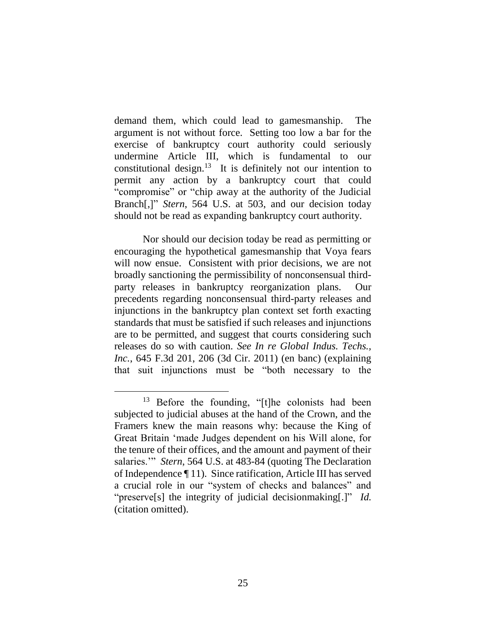demand them, which could lead to gamesmanship. The argument is not without force. Setting too low a bar for the exercise of bankruptcy court authority could seriously undermine Article III, which is fundamental to our constitutional design.<sup>13</sup> It is definitely not our intention to permit any action by a bankruptcy court that could "compromise" or "chip away at the authority of the Judicial Branch[,]" *Stern*, 564 U.S. at 503, and our decision today should not be read as expanding bankruptcy court authority.

Nor should our decision today be read as permitting or encouraging the hypothetical gamesmanship that Voya fears will now ensue. Consistent with prior decisions, we are not broadly sanctioning the permissibility of nonconsensual thirdparty releases in bankruptcy reorganization plans. Our precedents regarding nonconsensual third-party releases and injunctions in the bankruptcy plan context set forth exacting standards that must be satisfied if such releases and injunctions are to be permitted, and suggest that courts considering such releases do so with caution. *See In re Global Indus. Techs., Inc.*, 645 F.3d 201, 206 (3d Cir. 2011) (en banc) (explaining that suit injunctions must be "both necessary to the

<sup>&</sup>lt;sup>13</sup> Before the founding, "[t]he colonists had been subjected to judicial abuses at the hand of the Crown, and the Framers knew the main reasons why: because the King of Great Britain 'made Judges dependent on his Will alone, for the tenure of their offices, and the amount and payment of their salaries.'" *Stern*, 564 U.S. at 483-84 (quoting The Declaration of Independence ¶ 11). Since ratification, Article III has served a crucial role in our "system of checks and balances" and "preserve[s] the integrity of judicial decisionmaking[.]" *Id.* (citation omitted).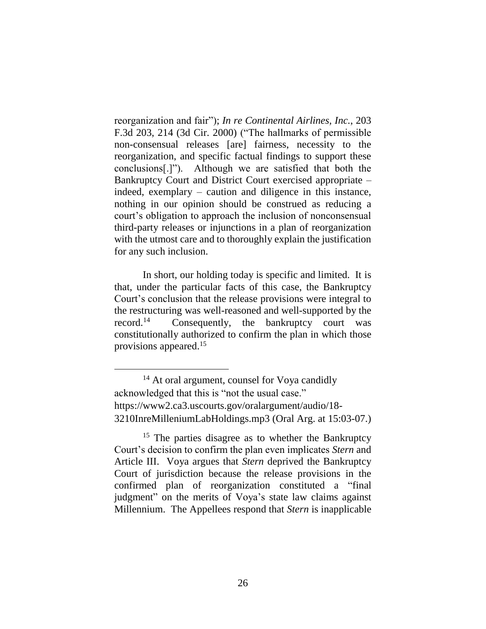reorganization and fair"); *In re Continental Airlines, Inc.*, 203 F.3d 203, 214 (3d Cir. 2000) ("The hallmarks of permissible non-consensual releases [are] fairness, necessity to the reorganization, and specific factual findings to support these conclusions[.]"). Although we are satisfied that both the Bankruptcy Court and District Court exercised appropriate – indeed, exemplary – caution and diligence in this instance, nothing in our opinion should be construed as reducing a court's obligation to approach the inclusion of nonconsensual third-party releases or injunctions in a plan of reorganization with the utmost care and to thoroughly explain the justification for any such inclusion.

In short, our holding today is specific and limited. It is that, under the particular facts of this case, the Bankruptcy Court's conclusion that the release provisions were integral to the restructuring was well-reasoned and well-supported by the record. 14 Consequently, the bankruptcy court was constitutionally authorized to confirm the plan in which those provisions appeared. 15

<sup>&</sup>lt;sup>14</sup> At oral argument, counsel for Voya candidly acknowledged that this is "not the usual case." https://www2.ca3.uscourts.gov/oralargument/audio/18- 3210InreMilleniumLabHoldings.mp3 (Oral Arg. at 15:03-07.)

<sup>&</sup>lt;sup>15</sup> The parties disagree as to whether the Bankruptcy Court's decision to confirm the plan even implicates *Stern* and Article III. Voya argues that *Stern* deprived the Bankruptcy Court of jurisdiction because the release provisions in the confirmed plan of reorganization constituted a "final judgment" on the merits of Voya's state law claims against Millennium. The Appellees respond that *Stern* is inapplicable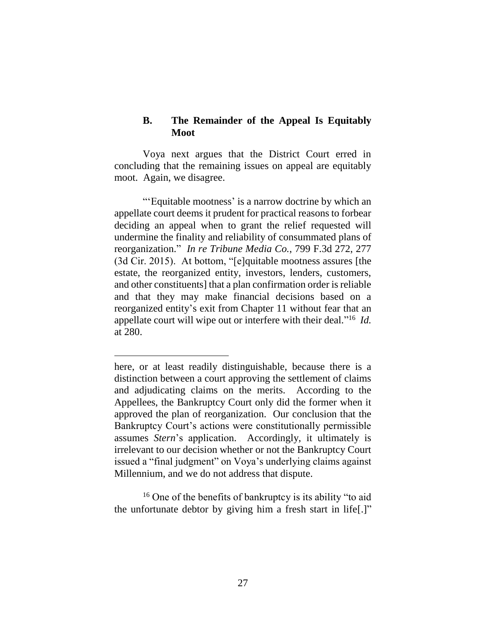## **B. The Remainder of the Appeal Is Equitably Moot**

Voya next argues that the District Court erred in concluding that the remaining issues on appeal are equitably moot. Again, we disagree.

"'Equitable mootness' is a narrow doctrine by which an appellate court deems it prudent for practical reasons to forbear deciding an appeal when to grant the relief requested will undermine the finality and reliability of consummated plans of reorganization." *In re Tribune Media Co.*, 799 F.3d 272, 277 (3d Cir. 2015). At bottom, "[e]quitable mootness assures [the estate, the reorganized entity, investors, lenders, customers, and other constituents] that a plan confirmation order is reliable and that they may make financial decisions based on a reorganized entity's exit from Chapter 11 without fear that an appellate court will wipe out or interfere with their deal." 16 *Id.* at 280.

 $\overline{a}$ 

<sup>16</sup> One of the benefits of bankruptcy is its ability "to aid the unfortunate debtor by giving him a fresh start in life[.]"

here, or at least readily distinguishable, because there is a distinction between a court approving the settlement of claims and adjudicating claims on the merits. According to the Appellees, the Bankruptcy Court only did the former when it approved the plan of reorganization. Our conclusion that the Bankruptcy Court's actions were constitutionally permissible assumes *Stern*'s application. Accordingly, it ultimately is irrelevant to our decision whether or not the Bankruptcy Court issued a "final judgment" on Voya's underlying claims against Millennium, and we do not address that dispute.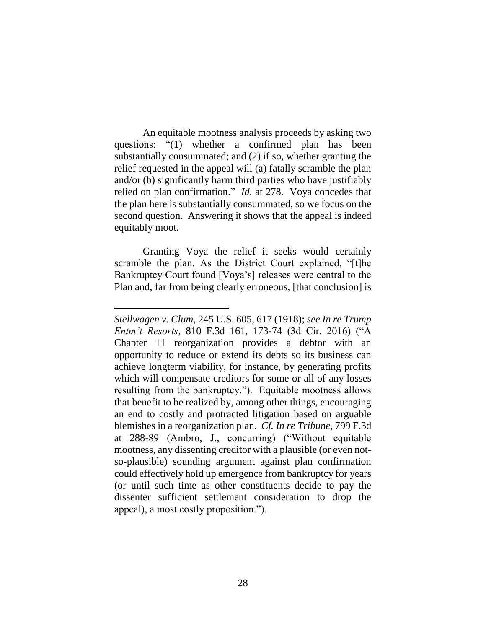An equitable mootness analysis proceeds by asking two questions: "(1) whether a confirmed plan has been substantially consummated; and (2) if so, whether granting the relief requested in the appeal will (a) fatally scramble the plan and/or (b) significantly harm third parties who have justifiably relied on plan confirmation." *Id.* at 278. Voya concedes that the plan here is substantially consummated, so we focus on the second question. Answering it shows that the appeal is indeed equitably moot.

Granting Voya the relief it seeks would certainly scramble the plan. As the District Court explained, "[t]he Bankruptcy Court found [Voya's] releases were central to the Plan and, far from being clearly erroneous, [that conclusion] is

*Stellwagen v. Clum*, 245 U.S. 605, 617 (1918); *see In re Trump Entm't Resorts*, 810 F.3d 161, 173-74 (3d Cir. 2016) ("A Chapter 11 reorganization provides a debtor with an opportunity to reduce or extend its debts so its business can achieve longterm viability, for instance, by generating profits which will compensate creditors for some or all of any losses resulting from the bankruptcy."). Equitable mootness allows that benefit to be realized by, among other things, encouraging an end to costly and protracted litigation based on arguable blemishes in a reorganization plan. *Cf. In re Tribune*, 799 F.3d at 288-89 (Ambro, J., concurring) ("Without equitable mootness, any dissenting creditor with a plausible (or even notso-plausible) sounding argument against plan confirmation could effectively hold up emergence from bankruptcy for years (or until such time as other constituents decide to pay the dissenter sufficient settlement consideration to drop the appeal), a most costly proposition.").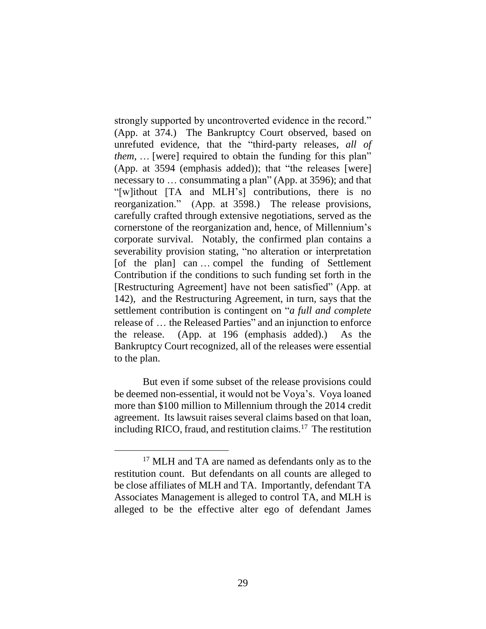strongly supported by uncontroverted evidence in the record." (App. at 374.) The Bankruptcy Court observed, based on unrefuted evidence, that the "third-party releases, *all of them*, ... [were] required to obtain the funding for this plan" (App. at 3594 (emphasis added)); that "the releases [were] necessary to … consummating a plan" (App. at 3596); and that "[w]ithout [TA and MLH's] contributions, there is no reorganization." (App. at 3598.) The release provisions, carefully crafted through extensive negotiations, served as the cornerstone of the reorganization and, hence, of Millennium's corporate survival. Notably, the confirmed plan contains a severability provision stating, "no alteration or interpretation [of the plan] can … compel the funding of Settlement Contribution if the conditions to such funding set forth in the [Restructuring Agreement] have not been satisfied" (App. at 142), and the Restructuring Agreement, in turn, says that the settlement contribution is contingent on "*a full and complete* release of … the Released Parties" and an injunction to enforce the release. (App. at 196 (emphasis added).) As the Bankruptcy Court recognized, all of the releases were essential to the plan.

But even if some subset of the release provisions could be deemed non-essential, it would not be Voya's. Voya loaned more than \$100 million to Millennium through the 2014 credit agreement. Its lawsuit raises several claims based on that loan, including RICO, fraud, and restitution claims.<sup>17</sup> The restitution

<sup>&</sup>lt;sup>17</sup> MLH and TA are named as defendants only as to the restitution count. But defendants on all counts are alleged to be close affiliates of MLH and TA. Importantly, defendant TA Associates Management is alleged to control TA, and MLH is alleged to be the effective alter ego of defendant James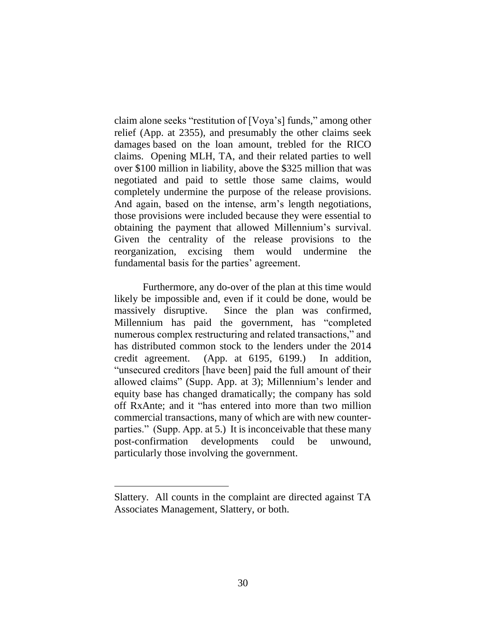claim alone seeks "restitution of [Voya's] funds," among other relief (App. at 2355), and presumably the other claims seek damages based on the loan amount, trebled for the RICO claims. Opening MLH, TA, and their related parties to well over \$100 million in liability, above the \$325 million that was negotiated and paid to settle those same claims, would completely undermine the purpose of the release provisions. And again, based on the intense, arm's length negotiations, those provisions were included because they were essential to obtaining the payment that allowed Millennium's survival. Given the centrality of the release provisions to the reorganization, excising them would undermine the fundamental basis for the parties' agreement.

Furthermore, any do-over of the plan at this time would likely be impossible and, even if it could be done, would be massively disruptive. Since the plan was confirmed, Millennium has paid the government, has "completed numerous complex restructuring and related transactions," and has distributed common stock to the lenders under the 2014 credit agreement. (App. at 6195, 6199.) In addition, "unsecured creditors [have been] paid the full amount of their allowed claims" (Supp. App. at 3); Millennium's lender and equity base has changed dramatically; the company has sold off RxAnte; and it "has entered into more than two million commercial transactions, many of which are with new counterparties." (Supp. App. at 5.) It is inconceivable that these many post-confirmation developments could be unwound, particularly those involving the government.

Slattery. All counts in the complaint are directed against TA Associates Management, Slattery, or both.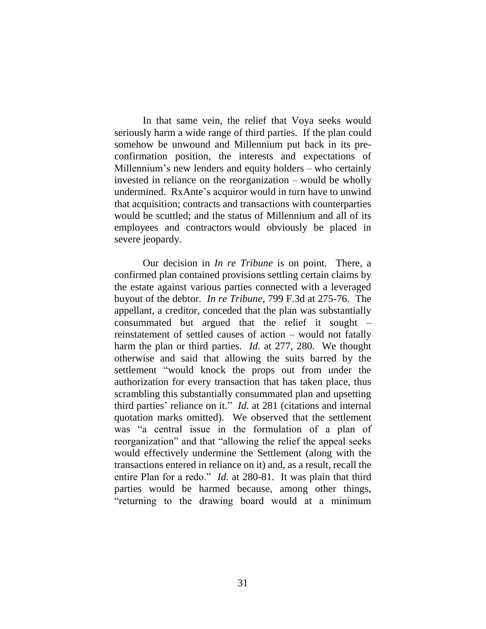In that same vein, the relief that Voya seeks would seriously harm a wide range of third parties. If the plan could somehow be unwound and Millennium put back in its preconfirmation position, the interests and expectations of Millennium's new lenders and equity holders – who certainly invested in reliance on the reorganization – would be wholly undermined. RxAnte's acquiror would in turn have to unwind that acquisition; contracts and transactions with counterparties would be scuttled; and the status of Millennium and all of its employees and contractors would obviously be placed in severe jeopardy.

Our decision in *In re Tribune* is on point. There, a confirmed plan contained provisions settling certain claims by the estate against various parties connected with a leveraged buyout of the debtor. *In re Tribune*, 799 F.3d at 275-76. The appellant, a creditor, conceded that the plan was substantially consummated but argued that the relief it sought – reinstatement of settled causes of action – would not fatally harm the plan or third parties. *Id.* at 277, 280. We thought otherwise and said that allowing the suits barred by the settlement "would knock the props out from under the authorization for every transaction that has taken place, thus scrambling this substantially consummated plan and upsetting third parties' reliance on it." *Id.* at 281 (citations and internal quotation marks omitted). We observed that the settlement was "a central issue in the formulation of a plan of reorganization" and that "allowing the relief the appeal seeks would effectively undermine the Settlement (along with the transactions entered in reliance on it) and, as a result, recall the entire Plan for a redo." *Id.* at 280-81. It was plain that third parties would be harmed because, among other things, "returning to the drawing board would at a minimum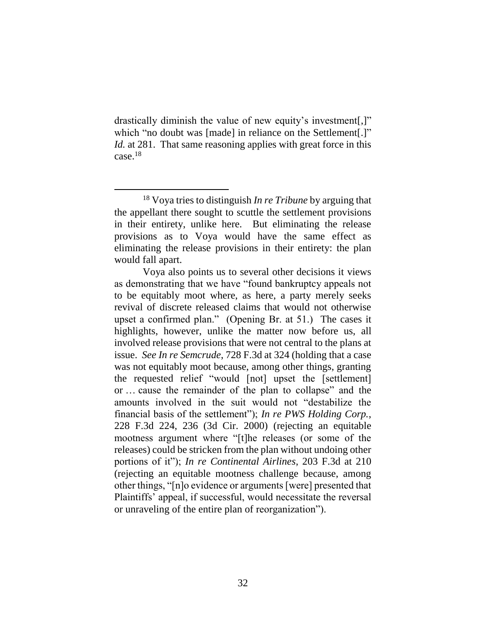drastically diminish the value of new equity's investment[,]" which "no doubt was [made] in reliance on the Settlement[.]" *Id.* at 281. That same reasoning applies with great force in this case. 18

<sup>18</sup> Voya tries to distinguish *In re Tribune* by arguing that the appellant there sought to scuttle the settlement provisions in their entirety, unlike here. But eliminating the release provisions as to Voya would have the same effect as eliminating the release provisions in their entirety: the plan would fall apart.

Voya also points us to several other decisions it views as demonstrating that we have "found bankruptcy appeals not to be equitably moot where, as here, a party merely seeks revival of discrete released claims that would not otherwise upset a confirmed plan." (Opening Br. at 51.) The cases it highlights, however, unlike the matter now before us, all involved release provisions that were not central to the plans at issue. *See In re Semcrude*, 728 F.3d at 324 (holding that a case was not equitably moot because, among other things, granting the requested relief "would [not] upset the [settlement] or … cause the remainder of the plan to collapse" and the amounts involved in the suit would not "destabilize the financial basis of the settlement"); *In re PWS Holding Corp.*, 228 F.3d 224, 236 (3d Cir. 2000) (rejecting an equitable mootness argument where "[t]he releases (or some of the releases) could be stricken from the plan without undoing other portions of it"); *In re Continental Airlines*, 203 F.3d at 210 (rejecting an equitable mootness challenge because, among other things, "[n]o evidence or arguments [were] presented that Plaintiffs' appeal, if successful, would necessitate the reversal or unraveling of the entire plan of reorganization").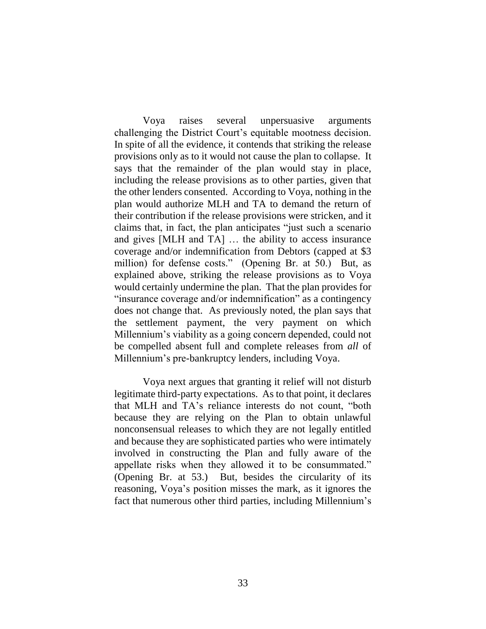Voya raises several unpersuasive arguments challenging the District Court's equitable mootness decision. In spite of all the evidence, it contends that striking the release provisions only as to it would not cause the plan to collapse. It says that the remainder of the plan would stay in place, including the release provisions as to other parties, given that the other lenders consented. According to Voya, nothing in the plan would authorize MLH and TA to demand the return of their contribution if the release provisions were stricken, and it claims that, in fact, the plan anticipates "just such a scenario and gives [MLH and TA] … the ability to access insurance coverage and/or indemnification from Debtors (capped at \$3 million) for defense costs." (Opening Br. at 50.) But, as explained above, striking the release provisions as to Voya would certainly undermine the plan. That the plan provides for "insurance coverage and/or indemnification" as a contingency does not change that. As previously noted, the plan says that the settlement payment, the very payment on which Millennium's viability as a going concern depended, could not be compelled absent full and complete releases from *all* of Millennium's pre-bankruptcy lenders, including Voya.

Voya next argues that granting it relief will not disturb legitimate third-party expectations. As to that point, it declares that MLH and TA's reliance interests do not count, "both because they are relying on the Plan to obtain unlawful nonconsensual releases to which they are not legally entitled and because they are sophisticated parties who were intimately involved in constructing the Plan and fully aware of the appellate risks when they allowed it to be consummated." (Opening Br. at 53.) But, besides the circularity of its reasoning, Voya's position misses the mark, as it ignores the fact that numerous other third parties, including Millennium's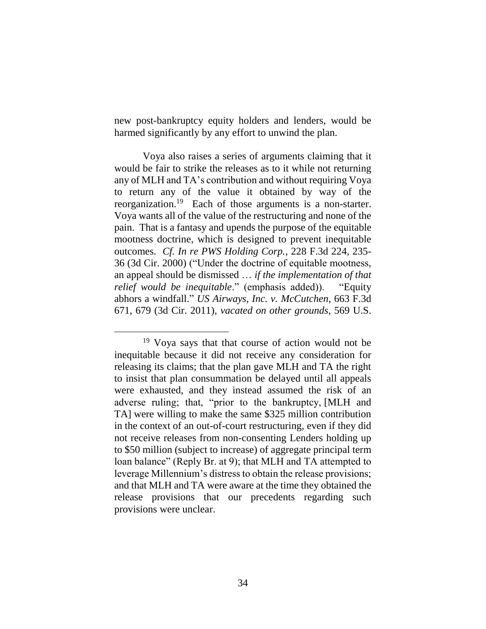new post-bankruptcy equity holders and lenders, would be harmed significantly by any effort to unwind the plan.

Voya also raises a series of arguments claiming that it would be fair to strike the releases as to it while not returning any of MLH and TA's contribution and without requiring Voya to return any of the value it obtained by way of the reorganization.<sup>19</sup> Each of those arguments is a non-starter. Voya wants all of the value of the restructuring and none of the pain. That is a fantasy and upends the purpose of the equitable mootness doctrine, which is designed to prevent inequitable outcomes. *Cf. In re PWS Holding Corp.*, 228 F.3d 224, 235- 36 (3d Cir. 2000) ("Under the doctrine of equitable mootness, an appeal should be dismissed … *if the implementation of that relief would be inequitable*." (emphasis added)). "Equity abhors a windfall." *US Airways, Inc. v. McCutchen*, 663 F.3d 671, 679 (3d Cir. 2011), *vacated on other grounds*, 569 U.S.

 $\overline{a}$ <sup>19</sup> Voya says that that course of action would not be inequitable because it did not receive any consideration for releasing its claims; that the plan gave MLH and TA the right to insist that plan consummation be delayed until all appeals were exhausted, and they instead assumed the risk of an adverse ruling; that, "prior to the bankruptcy, [MLH and TA] were willing to make the same \$325 million contribution in the context of an out-of-court restructuring, even if they did not receive releases from non-consenting Lenders holding up to \$50 million (subject to increase) of aggregate principal term loan balance" (Reply Br. at 9); that MLH and TA attempted to leverage Millennium's distress to obtain the release provisions; and that MLH and TA were aware at the time they obtained the release provisions that our precedents regarding such provisions were unclear.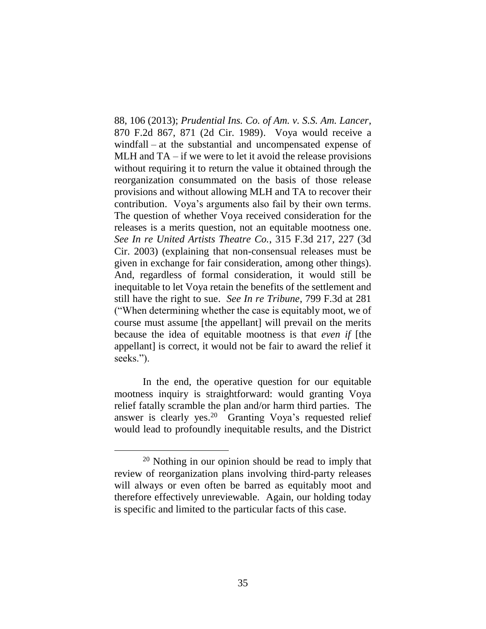88, 106 (2013); *Prudential Ins. Co. of Am. v. S.S. Am. Lancer*, 870 F.2d 867, 871 (2d Cir. 1989). Voya would receive a windfall – at the substantial and uncompensated expense of MLH and TA – if we were to let it avoid the release provisions without requiring it to return the value it obtained through the reorganization consummated on the basis of those release provisions and without allowing MLH and TA to recover their contribution. Voya's arguments also fail by their own terms. The question of whether Voya received consideration for the releases is a merits question, not an equitable mootness one. *See In re United Artists Theatre Co.*, 315 F.3d 217, 227 (3d Cir. 2003) (explaining that non-consensual releases must be given in exchange for fair consideration, among other things). And, regardless of formal consideration, it would still be inequitable to let Voya retain the benefits of the settlement and still have the right to sue. *See In re Tribune*, 799 F.3d at 281 ("When determining whether the case is equitably moot, we of course must assume [the appellant] will prevail on the merits because the idea of equitable mootness is that *even if* [the appellant] is correct, it would not be fair to award the relief it seeks.").

In the end, the operative question for our equitable mootness inquiry is straightforward: would granting Voya relief fatally scramble the plan and/or harm third parties. The answer is clearly yes.<sup>20</sup> Granting Voya's requested relief would lead to profoundly inequitable results, and the District

<sup>20</sup> Nothing in our opinion should be read to imply that review of reorganization plans involving third-party releases will always or even often be barred as equitably moot and therefore effectively unreviewable. Again, our holding today is specific and limited to the particular facts of this case.